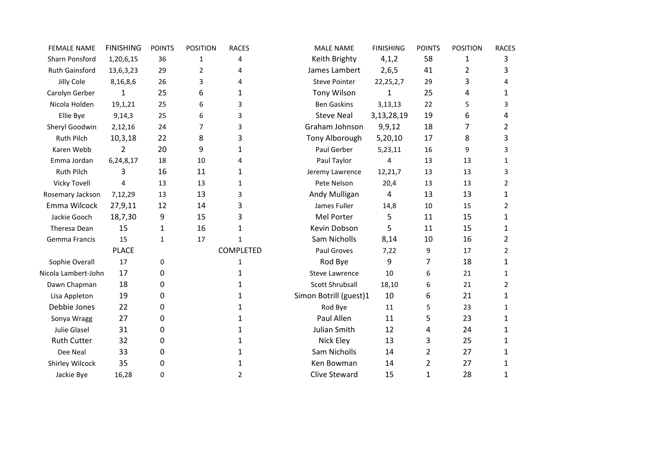| <b>FEMALE NAME</b>  | <b>FINISHING</b> | <b>POINTS</b> | <b>POSITION</b> | <b>RACES</b>     | <b>MALE NAME</b>       | <b>FINISHING</b> | <b>POINTS</b>  | <b>POSITION</b> | <b>RACES</b> |
|---------------------|------------------|---------------|-----------------|------------------|------------------------|------------------|----------------|-----------------|--------------|
| Sharn Ponsford      | 1,20,6,15        | 36            | 1               | 4                | Keith Brighty          | 4,1,2            | 58             | 1               | 3            |
| Ruth Gainsford      | 13,6,3,23        | 29            | $\overline{2}$  | 4                | James Lambert          | 2,6,5            | 41             | $\overline{2}$  | 3            |
| Jilly Cole          | 8,16,8,6         | 26            | 3               | 4                | <b>Steve Pointer</b>   | 22, 25, 2, 7     | 29             | 3               | 4            |
| Carolyn Gerber      | 1                | 25            | 6               | 1                | <b>Tony Wilson</b>     | 1                | 25             | 4               | 1            |
| Nicola Holden       | 19,1,21          | 25            | 6               | 3                | <b>Ben Gaskins</b>     | 3,13,13          | 22             | 5               | 3            |
| Ellie Bye           | 9,14,3           | 25            | 6               | 3                | <b>Steve Neal</b>      | 3,13,28,19       | 19             | 6               | 4            |
| Sheryl Goodwin      | 2,12,16          | 24            | $\overline{7}$  | 3                | Graham Johnson         | 9, 9, 12         | 18             | 7               | 2            |
| <b>Ruth Pilch</b>   | 10,3,18          | 22            | 8               | 3                | Tony Alborough         | 5,20,10          | 17             | 8               | 3            |
| Karen Webb          | 2                | 20            | 9               | 1                | Paul Gerber            | 5,23,11          | 16             | 9               | 3            |
| Emma Jordan         | 6,24,8,17        | 18            | 10              | 4                | Paul Taylor            | 4                | 13             | 13              | 1            |
| <b>Ruth Pilch</b>   | 3                | 16            | 11              | 1                | Jeremy Lawrence        | 12,21,7          | 13             | 13              | 3            |
| <b>Vicky Tovell</b> | 4                | 13            | 13              | 1                | Pete Nelson            | 20,4             | 13             | 13              | 2            |
| Rosemary Jackson    | 7,12,29          | 13            | 13              | 3                | Andy Mulligan          | 4                | 13             | 13              | 1            |
| Emma Wilcock        | 27,9,11          | 12            | 14              | 3                | James Fuller           | 14,8             | 10             | 15              | 2            |
| Jackie Gooch        | 18,7,30          | 9             | 15              | 3                | Mel Porter             | 5                | 11             | 15              | $\mathbf{1}$ |
| Theresa Dean        | 15               | 1             | 16              | 1                | Kevin Dobson           | 5.               | 11             | 15              | 1            |
| Gemma Francis       | 15               | $\mathbf{1}$  | 17              | $\mathbf{1}$     | Sam Nicholls           | 8,14             | 10             | 16              | 2            |
|                     | <b>PLACE</b>     |               |                 | <b>COMPLETED</b> | Paul Groves            | 7,22             | 9              | 17              | 2            |
| Sophie Overall      | 17               | 0             |                 | 1                | Rod Bye                | 9                | 7              | 18              | 1            |
| Nicola Lambert-John | 17               | 0             |                 | 1                | <b>Steve Lawrence</b>  | 10               | 6              | 21              | 1            |
| Dawn Chapman        | 18               | 0             |                 | 1                | Scott Shrubsall        | 18,10            | 6              | 21              | 2            |
| Lisa Appleton       | 19               | 0             |                 | 1                | Simon Botrill (guest)1 | 10               | 6              | 21              | 1            |
| Debbie Jones        | 22               | 0             |                 | 1                | Rod Bye                | 11               | 5              | 23              | $\mathbf{1}$ |
| Sonya Wragg         | 27               | 0             |                 | 1                | Paul Allen             | 11               | 5              | 23              | $\mathbf{1}$ |
| Julie Glasel        | 31               | 0             |                 | 1                | Julian Smith           | 12               | 4              | 24              | 1            |
| <b>Ruth Cutter</b>  | 32               | 0             |                 | 1                | Nick Eley              | 13               | 3              | 25              | 1            |
| Dee Neal            | 33               | 0             |                 | 1                | Sam Nicholls           | 14               | $\overline{2}$ | 27              | 1            |
| Shirley Wilcock     | 35               | 0             |                 | 1                | Ken Bowman             | 14               | 2              | 27              | 1            |
| Jackie Bye          | 16,28            | 0             |                 | $\overline{2}$   | <b>Clive Steward</b>   | 15               | 1              | 28              | 1            |